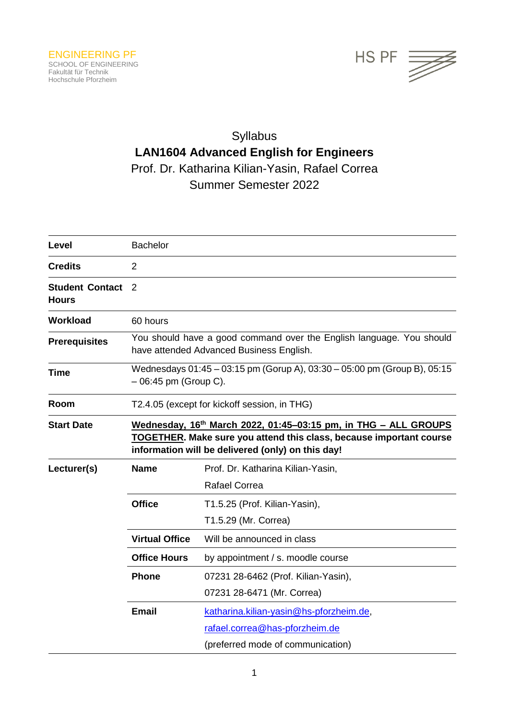

# Syllabus **LAN1604 Advanced English for Engineers** Prof. Dr. Katharina Kilian-Yasin, Rafael Correa Summer Semester 2022

| Level                                  | <b>Bachelor</b>                                                                                                                                                                             |                                         |  |
|----------------------------------------|---------------------------------------------------------------------------------------------------------------------------------------------------------------------------------------------|-----------------------------------------|--|
| <b>Credits</b>                         | $\overline{2}$                                                                                                                                                                              |                                         |  |
| <b>Student Contact</b><br><b>Hours</b> | $\mathcal{P}$                                                                                                                                                                               |                                         |  |
| <b>Workload</b>                        | 60 hours                                                                                                                                                                                    |                                         |  |
| <b>Prerequisites</b>                   | You should have a good command over the English language. You should<br>have attended Advanced Business English.                                                                            |                                         |  |
| <b>Time</b>                            | Wednesdays 01:45 - 03:15 pm (Gorup A), 03:30 - 05:00 pm (Group B), 05:15<br>$-06:45$ pm (Group C).                                                                                          |                                         |  |
| Room                                   | T2.4.05 (except for kickoff session, in THG)                                                                                                                                                |                                         |  |
| <b>Start Date</b>                      | Wednesday, 16th March 2022, 01:45-03:15 pm, in THG - ALL GROUPS<br>TOGETHER. Make sure you attend this class, because important course<br>information will be delivered (only) on this day! |                                         |  |
| Lecturer(s)                            | <b>Name</b>                                                                                                                                                                                 | Prof. Dr. Katharina Kilian-Yasin,       |  |
|                                        |                                                                                                                                                                                             | <b>Rafael Correa</b>                    |  |
|                                        | <b>Office</b>                                                                                                                                                                               | T1.5.25 (Prof. Kilian-Yasin),           |  |
|                                        |                                                                                                                                                                                             | T1.5.29 (Mr. Correa)                    |  |
|                                        | <b>Virtual Office</b>                                                                                                                                                                       | Will be announced in class              |  |
|                                        | <b>Office Hours</b>                                                                                                                                                                         | by appointment / s. moodle course       |  |
|                                        | <b>Phone</b>                                                                                                                                                                                | 07231 28-6462 (Prof. Kilian-Yasin),     |  |
|                                        |                                                                                                                                                                                             | 07231 28-6471 (Mr. Correa)              |  |
|                                        | <b>Email</b>                                                                                                                                                                                | katharina.kilian-yasin@hs-pforzheim.de, |  |
|                                        |                                                                                                                                                                                             | rafael.correa@has-pforzheim.de          |  |
|                                        |                                                                                                                                                                                             | (preferred mode of communication)       |  |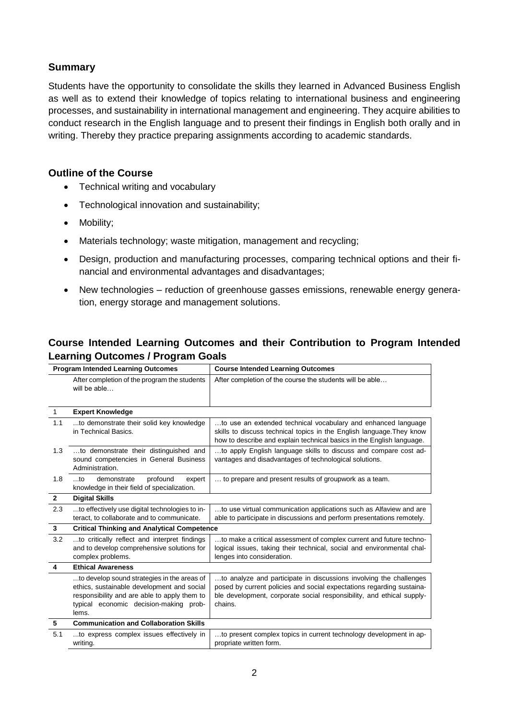## **Summary**

Students have the opportunity to consolidate the skills they learned in Advanced Business English as well as to extend their knowledge of topics relating to international business and engineering processes, and sustainability in international management and engineering. They acquire abilities to conduct research in the English language and to present their findings in English both orally and in writing. Thereby they practice preparing assignments according to academic standards.

### **Outline of the Course**

- Technical writing and vocabulary
- Technological innovation and sustainability;
- Mobility;
- Materials technology; waste mitigation, management and recycling;
- Design, production and manufacturing processes, comparing technical options and their financial and environmental advantages and disadvantages;
- New technologies reduction of greenhouse gasses emissions, renewable energy generation, energy storage and management solutions.

# **Course Intended Learning Outcomes and their Contribution to Program Intended Learning Outcomes / Program Goals**

| <b>Program Intended Learning Outcomes</b> |                                                                                                                                                                                              | <b>Course Intended Learning Outcomes</b>                                                                                                                                                                                        |  |
|-------------------------------------------|----------------------------------------------------------------------------------------------------------------------------------------------------------------------------------------------|---------------------------------------------------------------------------------------------------------------------------------------------------------------------------------------------------------------------------------|--|
|                                           | After completion of the program the students<br>will be able                                                                                                                                 | After completion of the course the students will be able                                                                                                                                                                        |  |
| $\mathbf{1}$                              | <b>Expert Knowledge</b>                                                                                                                                                                      |                                                                                                                                                                                                                                 |  |
| 1.1                                       | to demonstrate their solid key knowledge<br>in Technical Basics.                                                                                                                             | to use an extended technical vocabulary and enhanced language<br>skills to discuss technical topics in the English language. They know<br>how to describe and explain technical basics in the English language.                 |  |
| 1.3                                       | to demonstrate their distinguished and<br>sound competencies in General Business<br>Administration.                                                                                          | to apply English language skills to discuss and compare cost ad-<br>vantages and disadvantages of technological solutions.                                                                                                      |  |
| 1.8                                       | profound<br>$$ to<br>demonstrate<br>expert<br>knowledge in their field of specialization.                                                                                                    | to prepare and present results of groupwork as a team.                                                                                                                                                                          |  |
| $\mathbf{2}$                              | <b>Digital Skills</b>                                                                                                                                                                        |                                                                                                                                                                                                                                 |  |
| 2.3                                       | to effectively use digital technologies to in-<br>teract, to collaborate and to communicate.                                                                                                 | to use virtual communication applications such as Alfaview and are<br>able to participate in discussions and perform presentations remotely.                                                                                    |  |
| $\mathbf{3}$                              | <b>Critical Thinking and Analytical Competence</b>                                                                                                                                           |                                                                                                                                                                                                                                 |  |
| 3.2                                       | to critically reflect and interpret findings<br>and to develop comprehensive solutions for<br>complex problems.                                                                              | to make a critical assessment of complex current and future techno-<br>logical issues, taking their technical, social and environmental chal-<br>lenges into consideration.                                                     |  |
| 4                                         | <b>Ethical Awareness</b>                                                                                                                                                                     |                                                                                                                                                                                                                                 |  |
|                                           | to develop sound strategies in the areas of<br>ethics, sustainable development and social<br>responsibility and are able to apply them to<br>typical economic decision-making prob-<br>lems. | to analyze and participate in discussions involving the challenges<br>posed by current policies and social expectations regarding sustaina-<br>ble development, corporate social responsibility, and ethical supply-<br>chains. |  |
| 5                                         | <b>Communication and Collaboration Skills</b>                                                                                                                                                |                                                                                                                                                                                                                                 |  |
| 5.1                                       | to express complex issues effectively in<br>writing.                                                                                                                                         | to present complex topics in current technology development in ap-<br>propriate written form.                                                                                                                                   |  |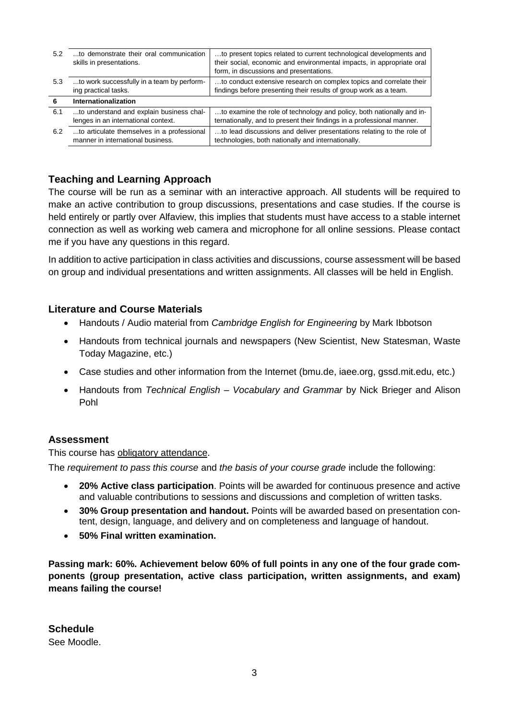| 5.2 | to demonstrate their oral communication<br>skills in presentations.             | to present topics related to current technological developments and<br>their social, economic and environmental impacts, in appropriate oral<br>form, in discussions and presentations. |
|-----|---------------------------------------------------------------------------------|-----------------------------------------------------------------------------------------------------------------------------------------------------------------------------------------|
| 5.3 | to work successfully in a team by perform-<br>ing practical tasks.              | to conduct extensive research on complex topics and correlate their<br>findings before presenting their results of group work as a team.                                                |
| 6   | <b>Internationalization</b>                                                     |                                                                                                                                                                                         |
|     |                                                                                 |                                                                                                                                                                                         |
| 6.1 | to understand and explain business chal-<br>lenges in an international context. | to examine the role of technology and policy, both nationally and in-<br>ternationally, and to present their findings in a professional manner.                                         |

# **Teaching and Learning Approach**

The course will be run as a seminar with an interactive approach. All students will be required to make an active contribution to group discussions, presentations and case studies. If the course is held entirely or partly over Alfaview, this implies that students must have access to a stable internet connection as well as working web camera and microphone for all online sessions. Please contact me if you have any questions in this regard.

In addition to active participation in class activities and discussions, course assessment will be based on group and individual presentations and written assignments. All classes will be held in English.

# **Literature and Course Materials**

- Handouts / Audio material from *Cambridge English for Engineering* by Mark Ibbotson
- Handouts from technical journals and newspapers (New Scientist, New Statesman, Waste Today Magazine, etc.)
- Case studies and other information from the Internet (bmu.de, iaee.org, gssd.mit.edu, etc.)
- Handouts from *Technical English – Vocabulary and Grammar* by Nick Brieger and Alison Pohl

#### **Assessment**

This course has obligatory attendance.

The *requirement to pass this course* and *the basis of your course grade* include the following:

- **20% Active class participation**. Points will be awarded for continuous presence and active and valuable contributions to sessions and discussions and completion of written tasks.
- **30% Group presentation and handout.** Points will be awarded based on presentation content, design, language, and delivery and on completeness and language of handout.
- **50% Final written examination.**

**Passing mark: 60%. Achievement below 60% of full points in any one of the four grade components (group presentation, active class participation, written assignments, and exam) means failing the course!**

**Schedule** 

See Moodle.